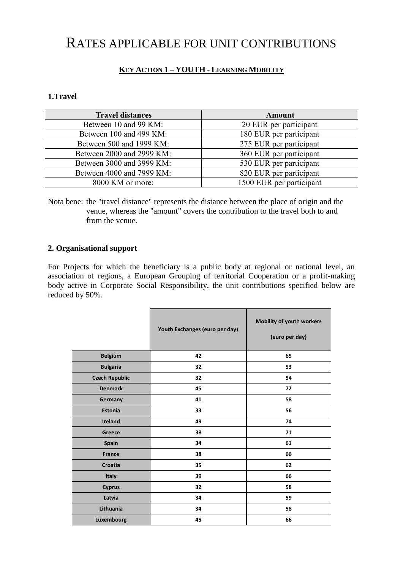## RATES APPLICABLE FOR UNIT CONTRIBUTIONS

## **KEY ACTION 1 – YOUTH - LEARNING MOBILITY**

## **1.Travel**

| <b>Travel distances</b>   | Amount                   |
|---------------------------|--------------------------|
| Between 10 and 99 KM:     | 20 EUR per participant   |
| Between 100 and 499 KM:   | 180 EUR per participant  |
| Between 500 and 1999 KM:  | 275 EUR per participant  |
| Between 2000 and 2999 KM: | 360 EUR per participant  |
| Between 3000 and 3999 KM: | 530 EUR per participant  |
| Between 4000 and 7999 KM: | 820 EUR per participant  |
| 8000 KM or more:          | 1500 EUR per participant |

Nota bene: the "travel distance" represents the distance between the place of origin and the venue, whereas the "amount" covers the contribution to the travel both to and from the venue.

## **2. Organisational support**

For Projects for which the beneficiary is a public body at regional or national level, an association of regions, a European Grouping of territorial Cooperation or a profit-making body active in Corporate Social Responsibility, the unit contributions specified below are reduced by 50%.

|                       | Youth Exchanges (euro per day) | Mobility of youth workers<br>(euro per day) |
|-----------------------|--------------------------------|---------------------------------------------|
| <b>Belgium</b>        | 42                             | 65                                          |
| <b>Bulgaria</b>       | 32                             | 53                                          |
| <b>Czech Republic</b> | 32                             | 54                                          |
| <b>Denmark</b>        | 45                             | 72                                          |
| Germany               | 41                             | 58                                          |
| <b>Estonia</b>        | 33                             | 56                                          |
| <b>Ireland</b>        | 49                             | 74                                          |
| Greece                | 38                             | 71                                          |
| Spain                 | 34                             | 61                                          |
| <b>France</b>         | 38                             | 66                                          |
| <b>Croatia</b>        | 35                             | 62                                          |
| Italy                 | 39                             | 66                                          |
| <b>Cyprus</b>         | 32                             | 58                                          |
| Latvia                | 34                             | 59                                          |
| Lithuania             | 34                             | 58                                          |
| Luxembourg            | 45                             | 66                                          |